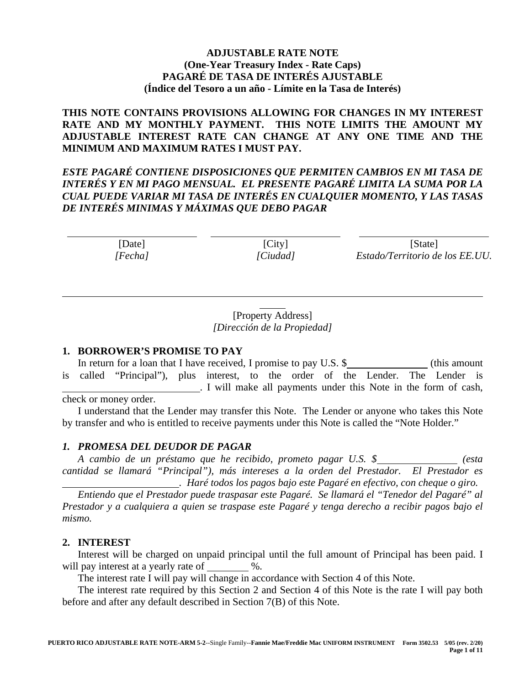# **ADJUSTABLE RATE NOTE (One-Year Treasury Index - Rate Caps) PAGARÉ DE TASA DE INTERÉS AJUSTABLE (Índice del Tesoro a un año - Límite en la Tasa de Interés)**

**THIS NOTE CONTAINS PROVISIONS ALLOWING FOR CHANGES IN MY INTEREST RATE AND MY MONTHLY PAYMENT. THIS NOTE LIMITS THE AMOUNT MY ADJUSTABLE INTEREST RATE CAN CHANGE AT ANY ONE TIME AND THE MINIMUM AND MAXIMUM RATES I MUST PAY.** 

*ESTE PAGARÉ CONTIENE DISPOSICIONES QUE PERMITEN CAMBIOS EN MI TASA DE INTERÉS Y EN MI PAGO MENSUAL. EL PRESENTE PAGARÉ LIMITA LA SUMA POR LA CUAL PUEDE VARIAR MI TASA DE INTERÉS EN CUALQUIER MOMENTO, Y LAS TASAS DE INTERÉS MINIMAS Y MÁXIMAS QUE DEBO PAGAR*

 $\overline{a}$ [Date] *[Fecha]*  $\overline{a}$ [City] *[Ciudad]*  $\overline{a}$ [State] *Estado/Territorio de los EE.UU.*

> [Property Address] *[Dirección de la Propiedad]*

 $\overline{a}$ 

### **1. BORROWER'S PROMISE TO PAY**

In return for a loan that I have received, I promise to pay U.S. \$ (this amount is called "Principal"), plus interest, to the order of the Lender. The Lender is . I will make all payments under this Note in the form of cash, check or money order.

I understand that the Lender may transfer this Note. The Lender or anyone who takes this Note by transfer and who is entitled to receive payments under this Note is called the "Note Holder."

### *1. PROMESA DEL DEUDOR DE PAGAR*

*A cambio de un préstamo que he recibido, prometo pagar U.S. \$ (esta cantidad se llamará "Principal"), más intereses a la orden del Prestador. El Prestador es . Haré todos los pagos bajo este Pagaré en efectivo, con cheque o giro.*

*Entiendo que el Prestador puede traspasar este Pagaré. Se llamará el "Tenedor del Pagaré" al Prestador y a cualquiera a quien se traspase este Pagaré y tenga derecho a recibir pagos bajo el mismo.*

### **2. INTEREST**

 $\overline{a}$ 

Interest will be charged on unpaid principal until the full amount of Principal has been paid. I will pay interest at a yearly rate of  $\%$ .

The interest rate I will pay will change in accordance with Section 4 of this Note.

The interest rate required by this Section 2 and Section 4 of this Note is the rate I will pay both before and after any default described in Section 7(B) of this Note.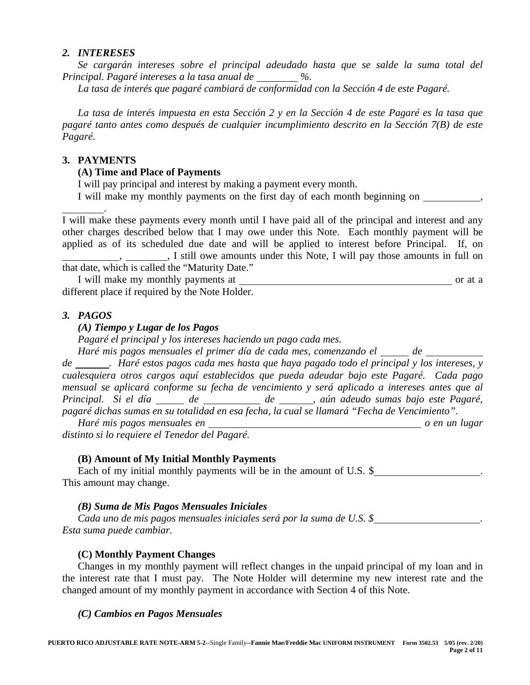### *2. INTERESES*

*Se cargarán intereses sobre el principal adeudado hasta que se salde la suma total del Principal. Pagaré intereses a la tasa anual de %.* 

*La tasa de interés que pagaré cambiará de conformidad con la Sección 4 de este Pagaré.*

*La tasa de interés impuesta en esta Sección 2 y en la Sección 4 de este Pagaré es la tasa que pagaré tanto antes como después de cualquier incumplimiento descrito en la Sección 7(B) de este Pagaré.*

### **3. PAYMENTS**

### **(A) Time and Place of Payments**

I will pay principal and interest by making a payment every month.

I will make my monthly payments on the first day of each month beginning on

 . I will make these payments every month until I have paid all of the principal and interest and any other charges described below that I may owe under this Note. Each monthly payment will be applied as of its scheduled due date and will be applied to interest before Principal. If, on , , I still owe amounts under this Note, I will pay those amounts in full on that date, which is called the "Maturity Date."

I will make my monthly payments at or at a different place if required by the Note Holder.

## *3. PAGOS*

### *(A) Tiempo y Lugar de los Pagos*

*Pagaré el principal y los intereses haciendo un pago cada mes.*

*Haré mis pagos mensuales el primer día de cada mes, comenzando el \_\_\_\_\_ de \_\_\_* 

*de . Haré estos pagos cada mes hasta que haya pagado todo el principal y los intereses, y cualesquiera otros cargos aquí establecidos que pueda adeudar bajo este Pagaré. Cada pago mensual se aplicará conforme su fecha de vencimiento y será aplicado a intereses antes que al*  Principal. Si el día \_\_\_\_\_ de \_\_\_\_\_\_\_ de \_\_\_\_\_, aún adeudo sumas bajo este Pagaré, *pagaré dichas sumas en su totalidad en esa fecha, la cual se llamará "Fecha de Vencimiento".*

*Haré mis pagos mensuales en* o en un lugar *o en un lugar distinto si lo requiere el Tenedor del Pagaré.*

### **(B) Amount of My Initial Monthly Payments**

Each of my initial monthly payments will be in the amount of U.S. \$ This amount may change.

#### *(B) Suma de Mis Pagos Mensuales Iniciales*

*Cada uno de mis pagos mensuales iniciales será por la suma de U.S. \$ . Esta suma puede cambiar.*

### **(C) Monthly Payment Changes**

Changes in my monthly payment will reflect changes in the unpaid principal of my loan and in the interest rate that I must pay. The Note Holder will determine my new interest rate and the changed amount of my monthly payment in accordance with Section 4 of this Note.

#### *(C) Cambios en Pagos Mensuales*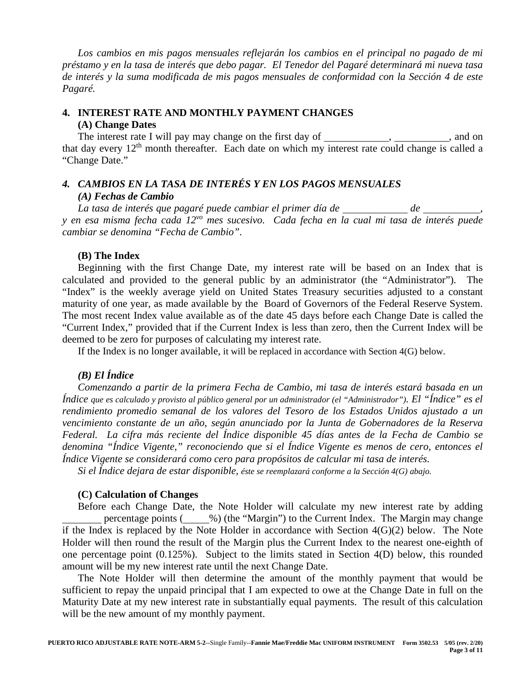*Los cambios en mis pagos mensuales reflejarán los cambios en el principal no pagado de mi préstamo y en la tasa de interés que debo pagar. El Tenedor del Pagaré determinará mi nueva tasa de interés y la suma modificada de mis pagos mensuales de conformidad con la Sección 4 de este Pagaré.*

# **4. INTEREST RATE AND MONTHLY PAYMENT CHANGES (A) Change Dates**

The interest rate I will pay may change on the first day of , , and on that day every  $12<sup>th</sup>$  month thereafter. Each date on which my interest rate could change is called a "Change Date."

# *4. CAMBIOS EN LA TASA DE INTERÉS Y EN LOS PAGOS MENSUALES (A) Fechas de Cambio*

*La tasa de interés que pagaré puede cambiar el primer día de*  $\frac{d}{d}$  *de*  $\frac{d}{d}$ *y en esa misma fecha cada 12vo mes sucesivo. Cada fecha en la cual mi tasa de interés puede cambiar se denomina "Fecha de Cambio".*

# **(B) The Index**

Beginning with the first Change Date, my interest rate will be based on an Index that is calculated and provided to the general public by an administrator (the "Administrator"). The "Index" is the weekly average yield on United States Treasury securities adjusted to a constant maturity of one year, as made available by the Board of Governors of the Federal Reserve System. The most recent Index value available as of the date 45 days before each Change Date is called the "Current Index," provided that if the Current Index is less than zero, then the Current Index will be deemed to be zero for purposes of calculating my interest rate.

If the Index is no longer available, it will be replaced in accordance with Section 4(G) below.

# *(B) El Índice*

*Comenzando a partir de la primera Fecha de Cambio, mi tasa de interés estará basada en un Índice que es calculado y provisto al público general por un administrador (el "Administrador"). El "Índice" es el rendimiento promedio semanal de los valores del Tesoro de los Estados Unidos ajustado a un vencimiento constante de un año, según anunciado por la Junta de Gobernadores de la Reserva Federal. La cifra más reciente del Índice disponible 45 días antes de la Fecha de Cambio se denomina "Índice Vigente," reconociendo que si el Índice Vigente es menos de cero, entonces el Índice Vigente se considerará como cero para propósitos de calcular mi tasa de interés.*

*Si el Índice dejara de estar disponible, éste se reemplazará conforme a la Sección 4(G) abajo.*

### **(C) Calculation of Changes**

Before each Change Date, the Note Holder will calculate my new interest rate by adding percentage points ( %) (the "Margin") to the Current Index. The Margin may change if the Index is replaced by the Note Holder in accordance with Section 4(G)(2) below. The Note Holder will then round the result of the Margin plus the Current Index to the nearest one-eighth of one percentage point (0.125%). Subject to the limits stated in Section 4(D) below, this rounded amount will be my new interest rate until the next Change Date.

The Note Holder will then determine the amount of the monthly payment that would be sufficient to repay the unpaid principal that I am expected to owe at the Change Date in full on the Maturity Date at my new interest rate in substantially equal payments. The result of this calculation will be the new amount of my monthly payment.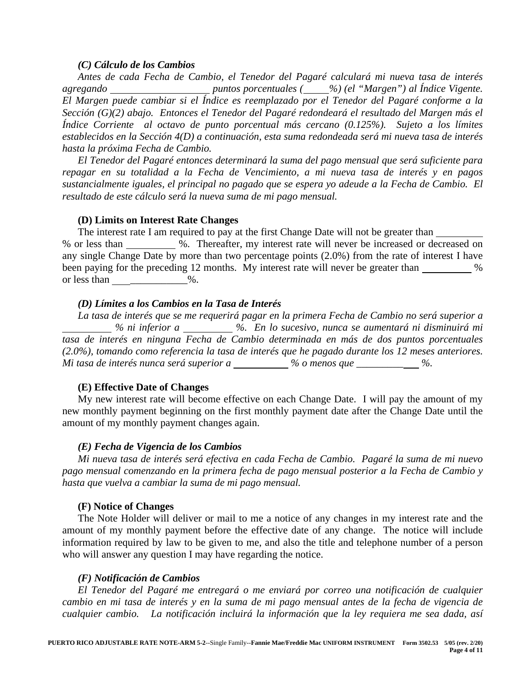### *(C) Cálculo de los Cambios*

*Antes de cada Fecha de Cambio, el Tenedor del Pagaré calculará mi nueva tasa de interés agregando* \_\_\_\_\_\_\_\_\_\_\_\_\_\_\_\_\_\_\_\_\_\_puntos porcentuales (\_\_\_\_%) (el "Margen") al Índice Vigente. *El Margen puede cambiar si el Índice es reemplazado por el Tenedor del Pagaré conforme a la Sección (G)(2) abajo. Entonces el Tenedor del Pagaré redondeará el resultado del Margen más el Índice Corriente al octavo de punto porcentual más cercano (0.125%). Sujeto a los límites establecidos en la Sección 4(D) a continuación, esta suma redondeada será mi nueva tasa de interés hasta la próxima Fecha de Cambio.*

*El Tenedor del Pagaré entonces determinará la suma del pago mensual que será suficiente para repagar en su totalidad a la Fecha de Vencimiento, a mi nueva tasa de interés y en pagos sustancialmente iguales, el principal no pagado que se espera yo adeude a la Fecha de Cambio. El resultado de este cálculo será la nueva suma de mi pago mensual.*

### **(D) Limits on Interest Rate Changes**

The interest rate I am required to pay at the first Change Date will not be greater than % or less than %. Thereafter, my interest rate will never be increased or decreased on any single Change Date by more than two percentage points (2.0%) from the rate of interest I have been paying for the preceding 12 months. My interest rate will never be greater than why  $\%$ or less than  $\%$ .

# *(D) Límites a los Cambios en la Tasa de Interés*

*La tasa de interés que se me requerirá pagar en la primera Fecha de Cambio no será superior a % ni inferior a %. En lo sucesivo, nunca se aumentará ni disminuirá mi tasa de interés en ninguna Fecha de Cambio determinada en más de dos puntos porcentuales (2.0%), tomando como referencia la tasa de interés que he pagado durante los 12 meses anteriores. Mi tasa de interés nunca será superior a* \_\_\_\_\_\_\_\_ % o menos que \_\_\_\_\_\_\_\_\_ %.

# **(E) Effective Date of Changes**

My new interest rate will become effective on each Change Date. I will pay the amount of my new monthly payment beginning on the first monthly payment date after the Change Date until the amount of my monthly payment changes again.

# *(E) Fecha de Vigencia de los Cambios*

*Mi nueva tasa de interés será efectiva en cada Fecha de Cambio. Pagaré la suma de mi nuevo pago mensual comenzando en la primera fecha de pago mensual posterior a la Fecha de Cambio y hasta que vuelva a cambiar la suma de mi pago mensual.*

### **(F) Notice of Changes**

The Note Holder will deliver or mail to me a notice of any changes in my interest rate and the amount of my monthly payment before the effective date of any change. The notice will include information required by law to be given to me, and also the title and telephone number of a person who will answer any question I may have regarding the notice.

# *(F) Notificación de Cambios*

*El Tenedor del Pagaré me entregará o me enviará por correo una notificación de cualquier cambio en mi tasa de interés y en la suma de mi pago mensual antes de la fecha de vigencia de cualquier cambio. La notificación incluirá la información que la ley requiera me sea dada, así*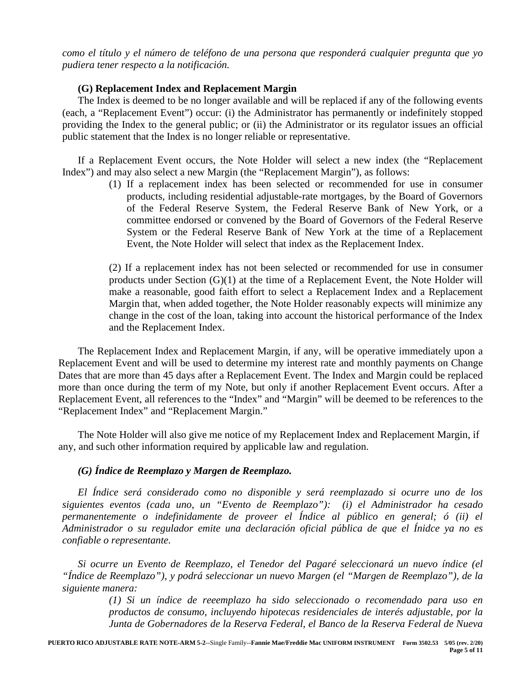*como el título y el número de teléfono de una persona que responderá cualquier pregunta que yo pudiera tener respecto a la notificación.*

## **(G) Replacement Index and Replacement Margin**

The Index is deemed to be no longer available and will be replaced if any of the following events (each, a "Replacement Event") occur: (i) the Administrator has permanently or indefinitely stopped providing the Index to the general public; or (ii) the Administrator or its regulator issues an official public statement that the Index is no longer reliable or representative.

If a Replacement Event occurs, the Note Holder will select a new index (the "Replacement Index") and may also select a new Margin (the "Replacement Margin"), as follows:

> (1) If a replacement index has been selected or recommended for use in consumer products, including residential adjustable-rate mortgages, by the Board of Governors of the Federal Reserve System, the Federal Reserve Bank of New York, or a committee endorsed or convened by the Board of Governors of the Federal Reserve System or the Federal Reserve Bank of New York at the time of a Replacement Event, the Note Holder will select that index as the Replacement Index.

> (2) If a replacement index has not been selected or recommended for use in consumer products under Section (G)(1) at the time of a Replacement Event, the Note Holder will make a reasonable, good faith effort to select a Replacement Index and a Replacement Margin that, when added together, the Note Holder reasonably expects will minimize any change in the cost of the loan, taking into account the historical performance of the Index and the Replacement Index.

The Replacement Index and Replacement Margin, if any, will be operative immediately upon a Replacement Event and will be used to determine my interest rate and monthly payments on Change Dates that are more than 45 days after a Replacement Event. The Index and Margin could be replaced more than once during the term of my Note, but only if another Replacement Event occurs. After a Replacement Event, all references to the "Index" and "Margin" will be deemed to be references to the "Replacement Index" and "Replacement Margin."

The Note Holder will also give me notice of my Replacement Index and Replacement Margin, if any, and such other information required by applicable law and regulation.

# *(G) Índice de Reemplazo y Margen de Reemplazo.*

*El Índice será considerado como no disponible y será reemplazado si ocurre uno de los siguientes eventos (cada uno, un "Evento de Reemplazo"): (i) el Administrador ha cesado permanentemente o indefinidamente de proveer el Índice al público en general; ó (ii) el Administrador o su regulador emite una declaración oficial pública de que el Ínidce ya no es confiable o representante.*

*Si ocurre un Evento de Reemplazo, el Tenedor del Pagaré seleccionará un nuevo índice (el "Índice de Reemplazo"), y podrá seleccionar un nuevo Margen (el "Margen de Reemplazo"), de la siguiente manera:*

> *(1) Si un índice de reeemplazo ha sido seleccionado o recomendado para uso en productos de consumo, incluyendo hipotecas residenciales de interés adjustable, por la Junta de Gobernadores de la Reserva Federal, el Banco de la Reserva Federal de Nueva*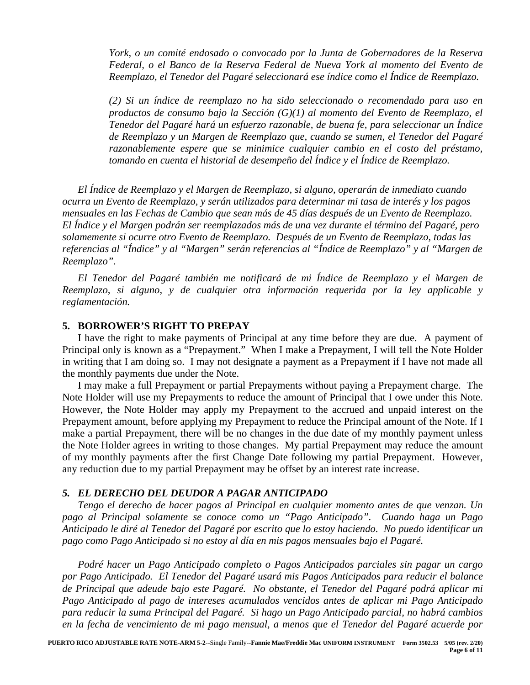*York, o un comité endosado o convocado por la Junta de Gobernadores de la Reserva Federal, o el Banco de la Reserva Federal de Nueva York al momento del Evento de Reemplazo, el Tenedor del Pagaré seleccionará ese índice como el Índice de Reemplazo.*

*(2) Si un índice de reemplazo no ha sido seleccionado o recomendado para uso en productos de consumo bajo la Sección (G)(1) al momento del Evento de Reemplazo, el Tenedor del Pagaré hará un esfuerzo razonable, de buena fe, para seleccionar un Índice de Reemplazo y un Margen de Reemplazo que, cuando se sumen, el Tenedor del Pagaré*  razonablemente espere que se minimice cualquier cambio en el costo del préstamo, *tomando en cuenta el historial de desempeño del Índice y el Índice de Reemplazo.*

*El Índice de Reemplazo y el Margen de Reemplazo, si alguno, operarán de inmediato cuando ocurra un Evento de Reemplazo, y serán utilizados para determinar mi tasa de interés y los pagos mensuales en las Fechas de Cambio que sean más de 45 días después de un Evento de Reemplazo. El Índice y el Margen podrán ser reemplazados más de una vez durante el término del Pagaré, pero solamemente si ocurre otro Evento de Reemplazo. Después de un Evento de Reemplazo, todas las referencias al "Índice" y al "Margen" serán referencias al "Índice de Reemplazo" y al "Margen de Reemplazo".*

*El Tenedor del Pagaré también me notificará de mi Índice de Reemplazo y el Margen de Reemplazo, si alguno, y de cualquier otra información requerida por la ley applicable y reglamentación.*

## **5. BORROWER'S RIGHT TO PREPAY**

I have the right to make payments of Principal at any time before they are due. A payment of Principal only is known as a "Prepayment." When I make a Prepayment, I will tell the Note Holder in writing that I am doing so. I may not designate a payment as a Prepayment if I have not made all the monthly payments due under the Note.

I may make a full Prepayment or partial Prepayments without paying a Prepayment charge. The Note Holder will use my Prepayments to reduce the amount of Principal that I owe under this Note. However, the Note Holder may apply my Prepayment to the accrued and unpaid interest on the Prepayment amount, before applying my Prepayment to reduce the Principal amount of the Note. If I make a partial Prepayment, there will be no changes in the due date of my monthly payment unless the Note Holder agrees in writing to those changes. My partial Prepayment may reduce the amount of my monthly payments after the first Change Date following my partial Prepayment. However, any reduction due to my partial Prepayment may be offset by an interest rate increase.

#### *5. EL DERECHO DEL DEUDOR A PAGAR ANTICIPADO*

*Tengo el derecho de hacer pagos al Principal en cualquier momento antes de que venzan. Un pago al Principal solamente se conoce como un "Pago Anticipado". Cuando haga un Pago Anticipado le diré al Tenedor del Pagaré por escrito que lo estoy haciendo. No puedo identificar un pago como Pago Anticipado si no estoy al día en mis pagos mensuales bajo el Pagaré.*

*Podré hacer un Pago Anticipado completo o Pagos Anticipados parciales sin pagar un cargo por Pago Anticipado. El Tenedor del Pagaré usará mis Pagos Anticipados para reducir el balance de Principal que adeude bajo este Pagaré. No obstante, el Tenedor del Pagaré podrá aplicar mi Pago Anticipado al pago de intereses acumulados vencidos antes de aplicar mi Pago Anticipado para reducir la suma Principal del Pagaré. Si hago un Pago Anticipado parcial, no habrá cambios en la fecha de vencimiento de mi pago mensual, a menos que el Tenedor del Pagaré acuerde por*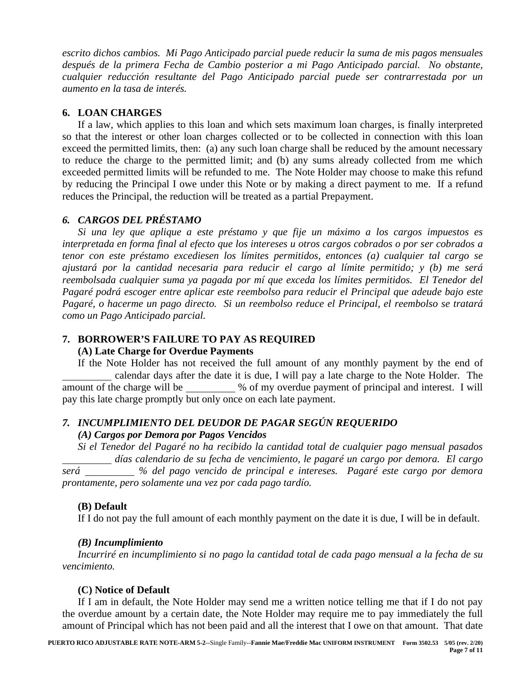*escrito dichos cambios. Mi Pago Anticipado parcial puede reducir la suma de mis pagos mensuales después de la primera Fecha de Cambio posterior a mi Pago Anticipado parcial. No obstante, cualquier reducción resultante del Pago Anticipado parcial puede ser contrarrestada por un aumento en la tasa de interés.*

## **6. LOAN CHARGES**

If a law, which applies to this loan and which sets maximum loan charges, is finally interpreted so that the interest or other loan charges collected or to be collected in connection with this loan exceed the permitted limits, then: (a) any such loan charge shall be reduced by the amount necessary to reduce the charge to the permitted limit; and (b) any sums already collected from me which exceeded permitted limits will be refunded to me. The Note Holder may choose to make this refund by reducing the Principal I owe under this Note or by making a direct payment to me. If a refund reduces the Principal, the reduction will be treated as a partial Prepayment.

# *6. CARGOS DEL PRÉSTAMO*

*Si una ley que aplique a este préstamo y que fije un máximo a los cargos impuestos es interpretada en forma final al efecto que los intereses u otros cargos cobrados o por ser cobrados a tenor con este préstamo excediesen los límites permitidos, entonces (a) cualquier tal cargo se ajustará por la cantidad necesaria para reducir el cargo al límite permitido; y (b) me será reembolsada cualquier suma ya pagada por mí que exceda los límites permitidos. El Tenedor del Pagaré podrá escoger entre aplicar este reembolso para reducir el Principal que adeude bajo este Pagaré, o hacerme un pago directo. Si un reembolso reduce el Principal, el reembolso se tratará como un Pago Anticipado parcial.*

### **7. BORROWER'S FAILURE TO PAY AS REQUIRED**

### **(A) Late Charge for Overdue Payments**

If the Note Holder has not received the full amount of any monthly payment by the end of calendar days after the date it is due, I will pay a late charge to the Note Holder. The amount of the charge will be \_\_\_\_\_\_\_\_\_ % of my overdue payment of principal and interest. I will pay this late charge promptly but only once on each late payment.

# *7. INCUMPLIMIENTO DEL DEUDOR DE PAGAR SEGÚN REQUERIDO*

### *(A) Cargos por Demora por Pagos Vencidos*

*Si el Tenedor del Pagaré no ha recibido la cantidad total de cualquier pago mensual pasados días calendario de su fecha de vencimiento, le pagaré un cargo por demora. El cargo será % del pago vencido de principal e intereses. Pagaré este cargo por demora prontamente, pero solamente una vez por cada pago tardío.*

# **(B) Default**

If I do not pay the full amount of each monthly payment on the date it is due, I will be in default.

### *(B) Incumplimiento*

*Incurriré en incumplimiento si no pago la cantidad total de cada pago mensual a la fecha de su vencimiento.*

### **(C) Notice of Default**

If I am in default, the Note Holder may send me a written notice telling me that if I do not pay the overdue amount by a certain date, the Note Holder may require me to pay immediately the full amount of Principal which has not been paid and all the interest that I owe on that amount. That date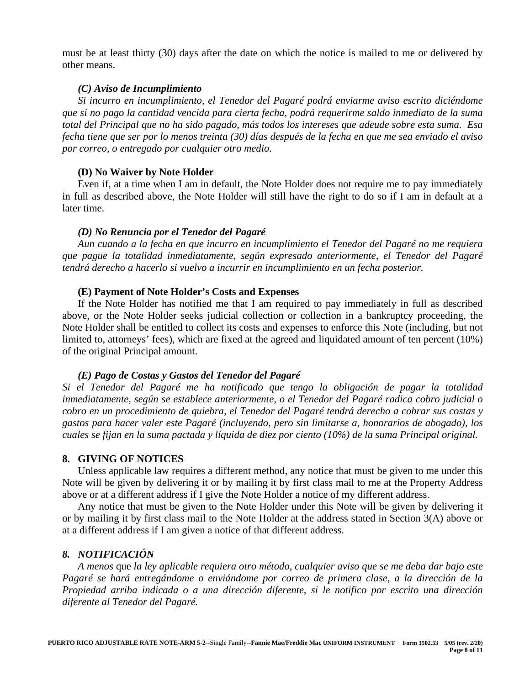must be at least thirty (30) days after the date on which the notice is mailed to me or delivered by other means.

### *(C) Aviso de Incumplimiento*

*Si incurro en incumplimiento, el Tenedor del Pagaré podrá enviarme aviso escrito diciéndome que si no pago la cantidad vencida para cierta fecha, podrá requerirme saldo inmediato de la suma total del Principal que no ha sido pagado, más todos los intereses que adeude sobre esta suma. Esa fecha tiene que ser por lo menos treinta (30) días después de la fecha en que me sea enviado el aviso por correo, o entregado por cualquier otro medio.*

#### **(D) No Waiver by Note Holder**

Even if, at a time when I am in default, the Note Holder does not require me to pay immediately in full as described above, the Note Holder will still have the right to do so if I am in default at a later time.

### *(D) No Renuncia por el Tenedor del Pagaré*

*Aun cuando a la fecha en que incurro en incumplimiento el Tenedor del Pagaré no me requiera que pague la totalidad inmediatamente, según expresado anteriormente, el Tenedor del Pagaré tendrá derecho a hacerlo si vuelvo a incurrir en incumplimiento en un fecha posterior.*

#### **(E) Payment of Note Holder's Costs and Expenses**

If the Note Holder has notified me that I am required to pay immediately in full as described above, or the Note Holder seeks judicial collection or collection in a bankruptcy proceeding, the Note Holder shall be entitled to collect its costs and expenses to enforce this Note (including, but not limited to, attorneys' fees), which are fixed at the agreed and liquidated amount of ten percent (10%) of the original Principal amount.

### *(E) Pago de Costas y Gastos del Tenedor del Pagaré*

*Si el Tenedor del Pagaré me ha notificado que tengo la obligación de pagar la totalidad inmediatamente, según se establece anteriormente, o el Tenedor del Pagaré radica cobro judicial o cobro en un procedimiento de quiebra, el Tenedor del Pagaré tendrá derecho a cobrar sus costas y gastos para hacer valer este Pagaré (incluyendo, pero sin limitarse a, honorarios de abogado), los cuales se fijan en la suma pactada y líquida de diez por ciento (10%) de la suma Principal original.*

### **8. GIVING OF NOTICES**

Unless applicable law requires a different method, any notice that must be given to me under this Note will be given by delivering it or by mailing it by first class mail to me at the Property Address above or at a different address if I give the Note Holder a notice of my different address.

Any notice that must be given to the Note Holder under this Note will be given by delivering it or by mailing it by first class mail to the Note Holder at the address stated in Section 3(A) above or at a different address if I am given a notice of that different address.

## *8. NOTIFICACIÓN*

*A menos* que *la ley aplicable requiera otro método, cualquier aviso que se me deba dar bajo este Pagaré se hará entregándome o enviándome por correo de primera clase, a la dirección de la Propiedad arriba indicada o a una dirección diferente, si le notifico por escrito una dirección diferente al Tenedor del Pagaré.*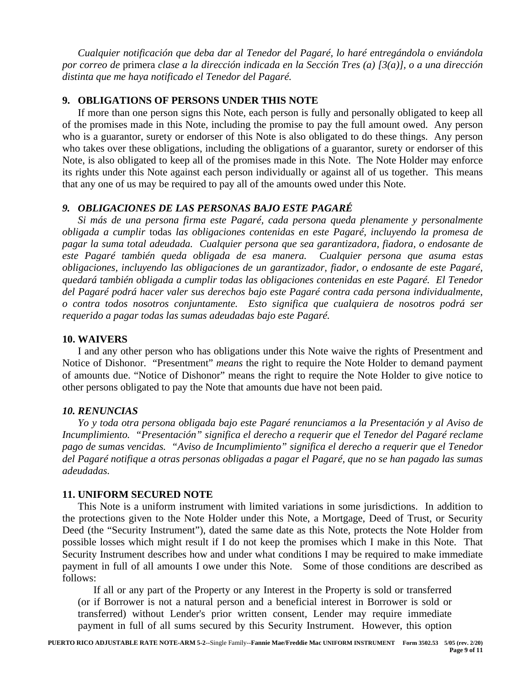*Cualquier notificación que deba dar al Tenedor del Pagaré, lo haré entregándola o enviándola por correo de* primera *clase a la dirección indicada en la Sección Tres (a) [3(a)], o a una dirección distinta que me haya notificado el Tenedor del Pagaré.*

# **9. OBLIGATIONS OF PERSONS UNDER THIS NOTE**

If more than one person signs this Note, each person is fully and personally obligated to keep all of the promises made in this Note, including the promise to pay the full amount owed. Any person who is a guarantor, surety or endorser of this Note is also obligated to do these things. Any person who takes over these obligations, including the obligations of a guarantor, surety or endorser of this Note, is also obligated to keep all of the promises made in this Note. The Note Holder may enforce its rights under this Note against each person individually or against all of us together. This means that any one of us may be required to pay all of the amounts owed under this Note.

### *9. OBLIGACIONES DE LAS PERSONAS BAJO ESTE PAGARÉ*

*Si más de una persona firma este Pagaré, cada persona queda plenamente y personalmente obligada a cumplir* todas *las obligaciones contenidas en este Pagaré, incluyendo la promesa de pagar la suma total adeudada. Cualquier persona que sea garantizadora, fiadora, o endosante de este Pagaré también queda obligada de esa manera. Cualquier persona que asuma estas obligaciones, incluyendo las obligaciones de un garantizador, fiador, o endosante de este Pagaré, quedará también obligada a cumplir todas las obligaciones contenidas en este Pagaré. El Tenedor del Pagaré podrá hacer valer sus derechos bajo este Pagaré contra cada persona individualmente, o contra todos nosotros conjuntamente. Esto significa que cualquiera de nosotros podrá ser requerido a pagar todas las sumas adeudadas bajo este Pagaré.*

## **10. WAIVERS**

I and any other person who has obligations under this Note waive the rights of Presentment and Notice of Dishonor. "Presentment" *means* the right to require the Note Holder to demand payment of amounts due. "Notice of Dishonor" means the right to require the Note Holder to give notice to other persons obligated to pay the Note that amounts due have not been paid.

### *10. RENUNCIAS*

*Yo y toda otra persona obligada bajo este Pagaré renunciamos a la Presentación y al Aviso de Incumplimiento. "Presentación" significa el derecho a requerir que el Tenedor del Pagaré reclame pago de sumas vencidas. "Aviso de Incumplimiento" significa el derecho a requerir que el Tenedor del Pagaré notifique a otras personas obligadas a pagar el Pagaré, que no se han pagado las sumas adeudadas.*

### **11. UNIFORM SECURED NOTE**

This Note is a uniform instrument with limited variations in some jurisdictions. In addition to the protections given to the Note Holder under this Note, a Mortgage, Deed of Trust, or Security Deed (the "Security Instrument"), dated the same date as this Note, protects the Note Holder from possible losses which might result if I do not keep the promises which I make in this Note. That Security Instrument describes how and under what conditions I may be required to make immediate payment in full of all amounts I owe under this Note. Some of those conditions are described as follows:

If all or any part of the Property or any Interest in the Property is sold or transferred (or if Borrower is not a natural person and a beneficial interest in Borrower is sold or transferred) without Lender's prior written consent, Lender may require immediate payment in full of all sums secured by this Security Instrument. However, this option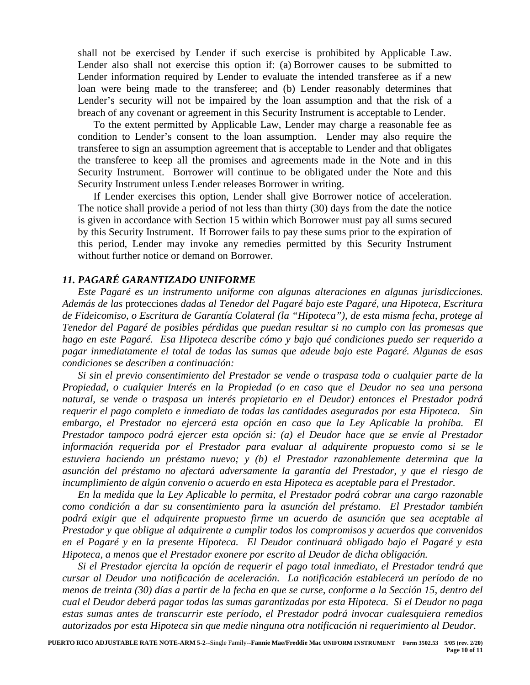shall not be exercised by Lender if such exercise is prohibited by Applicable Law. Lender also shall not exercise this option if: (a) Borrower causes to be submitted to Lender information required by Lender to evaluate the intended transferee as if a new loan were being made to the transferee; and (b) Lender reasonably determines that Lender's security will not be impaired by the loan assumption and that the risk of a breach of any covenant or agreement in this Security Instrument is acceptable to Lender.

To the extent permitted by Applicable Law, Lender may charge a reasonable fee as condition to Lender's consent to the loan assumption. Lender may also require the transferee to sign an assumption agreement that is acceptable to Lender and that obligates the transferee to keep all the promises and agreements made in the Note and in this Security Instrument. Borrower will continue to be obligated under the Note and this Security Instrument unless Lender releases Borrower in writing.

If Lender exercises this option, Lender shall give Borrower notice of acceleration. The notice shall provide a period of not less than thirty (30) days from the date the notice is given in accordance with Section 15 within which Borrower must pay all sums secured by this Security Instrument. If Borrower fails to pay these sums prior to the expiration of this period, Lender may invoke any remedies permitted by this Security Instrument without further notice or demand on Borrower.

### *11. PAGARÉ GARANTIZADO UNIFORME*

*Este Pagaré es un instrumento uniforme con algunas alteraciones en algunas jurisdicciones. Además de las* protecciones *dadas al Tenedor del Pagaré bajo este Pagaré, una Hipoteca, Escritura de Fideicomiso, o Escritura de Garantía Colateral (la "Hipoteca"), de esta misma fecha, protege al Tenedor del Pagaré de posibles pérdidas que puedan resultar si no cumplo con las promesas que hago en este Pagaré. Esa Hipoteca describe cómo y bajo qué condiciones puedo ser requerido a pagar inmediatamente el total de todas las sumas que adeude bajo este Pagaré. Algunas de esas condiciones se describen a continuación:*

*Si sin el previo consentimiento del Prestador se vende o traspasa toda o cualquier parte de la Propiedad, o cualquier Interés en la Propiedad (o en caso que el Deudor no sea una persona natural, se vende o traspasa un interés propietario en el Deudor) entonces el Prestador podrá requerir el pago completo e inmediato de todas las cantidades aseguradas por esta Hipoteca. Sin embargo, el Prestador no ejercerá esta opción en caso que la Ley Aplicable la prohíba. El Prestador tampoco podrá ejercer esta opción si: (a) el Deudor hace que se envíe al Prestador información requerida por el Prestador para evaluar al adquirente propuesto como si se le estuviera haciendo un préstamo nuevo; y (b) el Prestador razonablemente determina que la asunción del préstamo no afectará adversamente la garantía del Prestador, y que el riesgo de incumplimiento de algún convenio o acuerdo en esta Hipoteca es aceptable para el Prestador.* 

*En la medida que la Ley Aplicable lo permita, el Prestador podrá cobrar una cargo razonable como condición a dar su consentimiento para la asunción del préstamo. El Prestador también podrá exigir que el adquirente propuesto firme un acuerdo de asunción que sea aceptable al Prestador y que obligue al adquirente a cumplir todos los compromisos y acuerdos que convenidos en el Pagaré y en la presente Hipoteca. El Deudor continuará obligado bajo el Pagaré y esta Hipoteca, a menos que el Prestador exonere por escrito al Deudor de dicha obligación.*

*Si el Prestador ejercita la opción de requerir el pago total inmediato, el Prestador tendrá que cursar al Deudor una notificación de aceleración. La notificación establecerá un período de no menos de treinta (30) días a partir de la fecha en que se curse, conforme a la Sección 15, dentro del cual el Deudor deberá pagar todas las sumas garantizadas por esta Hipoteca. Si el Deudor no paga estas sumas antes de transcurrir este período, el Prestador podrá invocar cualesquiera remedios autorizados por esta Hipoteca sin que medie ninguna otra notificación ni requerimiento al Deudor.*